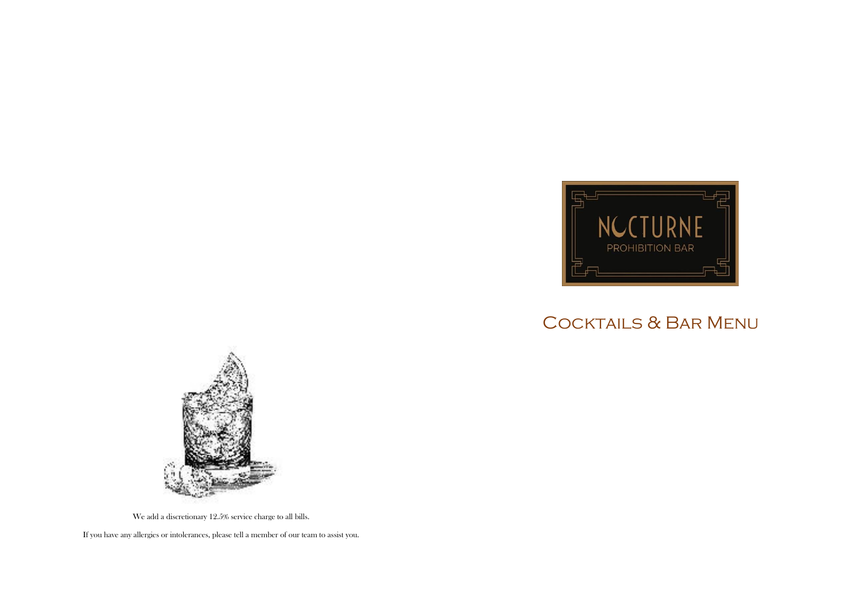

## Cocktails & Bar Menu



We add a discretionary 12.5% service charge to all bills.

If you have any allergies or intolerances, please tell a member of our team to assist you.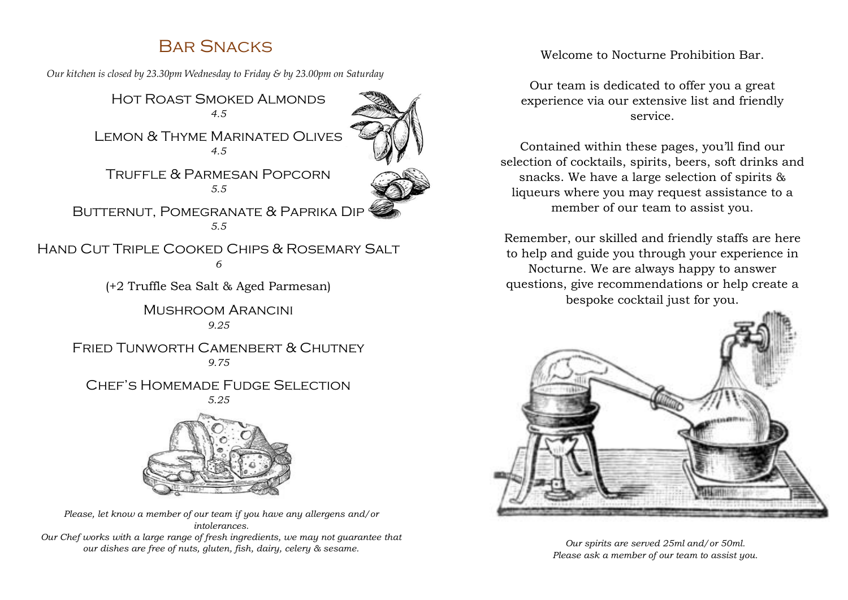### Bar Snacks

*Our kitchen is closed by 23.30pm Wednesday to Friday & by 23.00pm on Saturday*

Hot Roast Smoked Almonds *4.5*



Lemon & Thyme Marinated Olives *4.5*

Truffle & Parmesan Popcorn *5.5*



BUTTERNUT, POMEGRANATE & PAPRIKA DIP *5.5*

Hand Cut Triple Cooked Chips & Rosemary Salt *6*

(+2 Truffle Sea Salt & Aged Parmesan)

Mushroom Arancini *9.25*

FRIED TUNWORTH CAMENBERT & CHUTNEY *9.75*

CHEE'S HOMEMADE FUDGE SELECTION



*Please, let know a member of our team if you have any allergens and/or intolerances. Our Chef works with a large range of fresh ingredients, we may not guarantee that our dishes are free of nuts, gluten, fish, dairy, celery & sesame.*

Welcome to Nocturne Prohibition Bar.

Our team is dedicated to offer you a great experience via our extensive list and friendly service.

Contained within these pages, you'll find our selection of cocktails, spirits, beers, soft drinks and snacks. We have a large selection of spirits & liqueurs where you may request assistance to a member of our team to assist you.

Remember, our skilled and friendly staffs are here to help and guide you through your experience in Nocturne. We are always happy to answer questions, give recommendations or help create a bespoke cocktail just for you.



*Our spirits are served 25ml and/or 50ml. Please ask a member of our team to assist you.*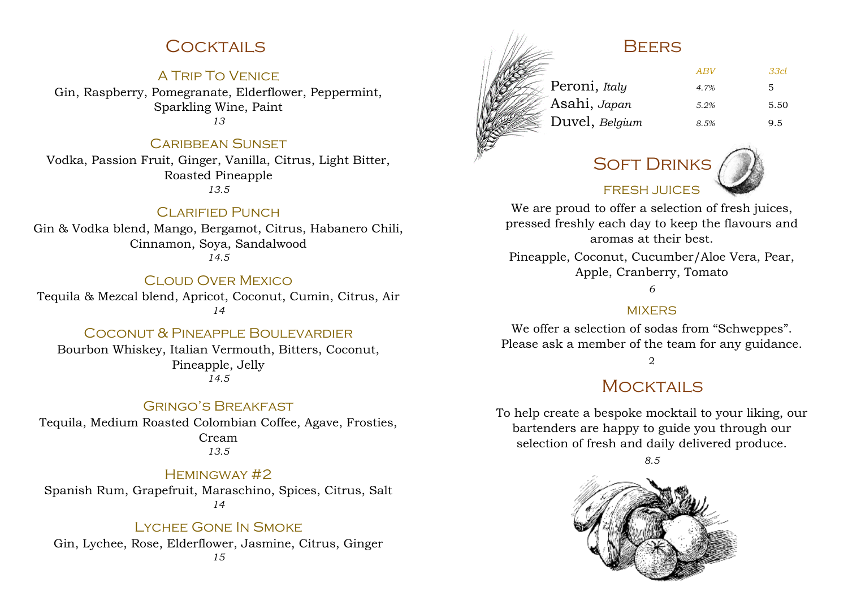### **COCKTAILS**

#### A Trip To Venice

Gin, Raspberry, Pomegranate, Elderflower, Peppermint, Sparkling Wine, Paint *13*

#### **CARIBBEAN SUNSET**

Vodka, Passion Fruit, Ginger, Vanilla, Citrus, Light Bitter, Roasted Pineapple *13.5*

#### CI ARIFIED PUNCH

Gin & Vodka blend, Mango, Bergamot, Citrus, Habanero Chili, Cinnamon, Soya, Sandalwood *14.5*

#### Cloud Over Mexico

Tequila & Mezcal blend, Apricot, Coconut, Cumin, Citrus, Air *14*

#### COCONUT & PINEAPPLE BOULEVARDIER

Bourbon Whiskey, Italian Vermouth, Bitters, Coconut, Pineapple, Jelly *14.5*

#### Gringo's Breakfast

Tequila, Medium Roasted Colombian Coffee, Agave, Frosties, Cream *13.5*

#### Hemingway #2

Spanish Rum, Grapefruit, Maraschino, Spices, Citrus, Salt *14*

#### Lychee Gone In Smoke

Gin, Lychee, Rose, Elderflower, Jasmine, Citrus, Ginger *15*

### **BEFRS**



| ABV  | 33cl |
|------|------|
| 4.7% | 5.   |
| 5.2% | 5.50 |
| 8.5% | 9.5  |
|      |      |

# SOFT DRINKS

FRESH JUICES



We are proud to offer a selection of fresh juices, pressed freshly each day to keep the flavours and aromas at their best.

Pineapple, Coconut, Cucumber/Aloe Vera, Pear, Apple, Cranberry, Tomato

#### *6*

#### **MIXFRS**

We offer a selection of sodas from "Schweppes". Please ask a member of the team for any guidance.

#### 2

### MOCKTAILS

To help create a bespoke mocktail to your liking, our bartenders are happy to guide you through our selection of fresh and daily delivered produce.

*8.5*

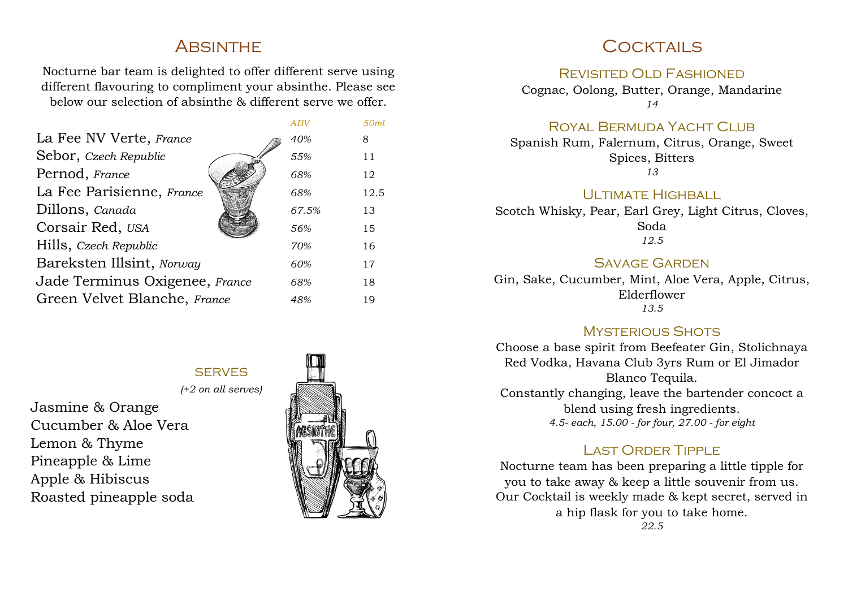### **ABSINTHE**

Nocturne bar team is delighted to offer different serve using different flavouring to compliment your absinthe. Please see below our selection of absinthe & different serve we offer.

|                                | ABV   | 50ml |
|--------------------------------|-------|------|
| La Fee NV Verte, France        | 40%   | 8    |
| Sebor, Czech Republic          | 55%   | 11   |
| Pernod, France                 | 68%   | 12   |
| La Fee Parisienne, France      | 68%   | 12.5 |
| Dillons, Canada                | 67.5% | 13   |
| Corsair Red, USA               | 56%   | 15   |
| Hills, Czech Republic          | 70%   | 16   |
| Bareksten Illsint, Norway      | 60%   | 17   |
| Jade Terminus Oxigenee, France | 68%   | 18   |
| Green Velvet Blanche, France   | 48%   | 19   |

**SERVES** *(+2 on all serves)*

Jasmine & Orange Cucumber & Aloe Vera Lemon & Thyme Pineapple & Lime Apple & Hibiscus Roasted pineapple soda



### COCKTAILS

#### REVISITED OLD FASHIONED

Cognac, Oolong, Butter, Orange, Mandarine *14*

Royal Bermuda Yacht Club

Spanish Rum, Falernum, Citrus, Orange, Sweet Spices, Bitters *13*

#### UI TIMATE HIGHBALL

Scotch Whisky, Pear, Earl Grey, Light Citrus, Cloves, Soda *12.5*

#### Savage Garden

Gin, Sake, Cucumber, Mint, Aloe Vera, Apple, Citrus, Elderflower *13.5*

#### **MYSTERIOUS SHOTS**

Choose a base spirit from Beefeater Gin, Stolichnaya Red Vodka, Havana Club 3yrs Rum or El Jimador Blanco Tequila. Constantly changing, leave the bartender concoct a blend using fresh ingredients. *4.5- each, 15.00 - for four, 27.00 - for eight*

#### LAST ORDER TIPPLE

Nocturne team has been preparing a little tipple for you to take away & keep a little souvenir from us. Our Cocktail is weekly made & kept secret, served in a hip flask for you to take home. *22.5*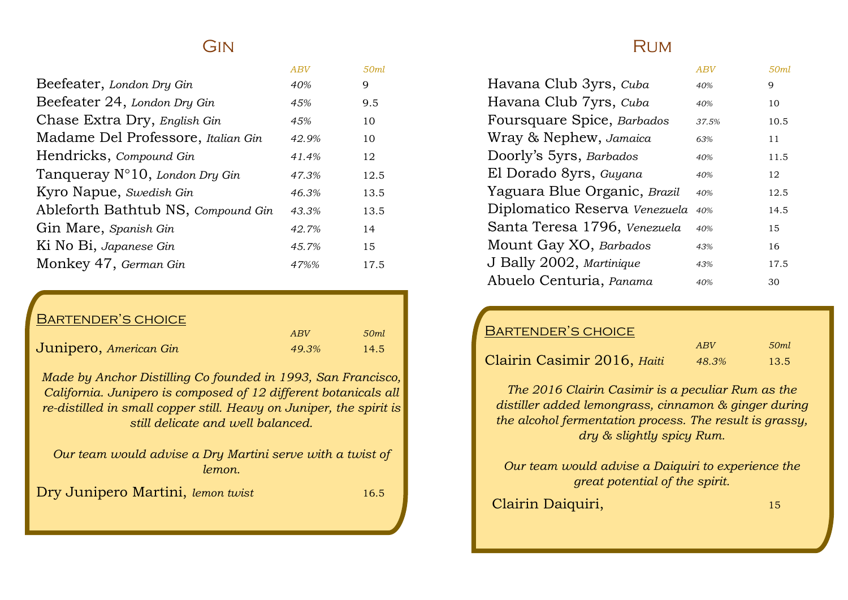### GIN

|                                    | ABV   | 50ml |
|------------------------------------|-------|------|
| Beefeater, London Dry Gin          | 40%   | 9    |
| Beefeater 24, London Dry Gin       | 45%   | 9.5  |
| Chase Extra Dry, English Gin       | 45%   | 10   |
| Madame Del Professore, Italian Gin | 42.9% | 10   |
| Hendricks, Compound Gin            | 41.4% | 12   |
| Tanqueray N°10, London Dry Gin     | 47.3% | 12.5 |
| Kyro Napue, Swedish Gin            | 46.3% | 13.5 |
| Ableforth Bathtub NS, Compound Gin | 43.3% | 13.5 |
| Gin Mare, Spanish Gin              | 42.7% | 14   |
| Ki No Bi, Japanese Gin             | 45.7% | 15   |
| Monkey 47, German Gin              | 47%%  | 17.5 |

### Bartender's choice

|                        | ABV   | 50ml |
|------------------------|-------|------|
| Junipero, American Gin | 49.3% | 14.5 |

*Made by Anchor Distilling Co founded in 1993, San Francisco, California. Junipero is composed of 12 different botanicals all re-distilled in small copper still. Heavy on Juniper, the spirit is still delicate and well balanced.*

*Our team would advise a Dry Martini serve with a twist of lemon.*

Dry Junipero Martini, *lemon twist* 16.5

### **RUM**

|                               | ABV   | 50ml |
|-------------------------------|-------|------|
| Havana Club 3yrs, Cuba        | 40%   | 9    |
| Havana Club 7yrs, Cuba        | 40%   | 10   |
| Foursquare Spice, Barbados    | 37.5% | 10.5 |
| Wray & Nephew, Jamaica        | 63%   | 11   |
| Doorly's 5yrs, Barbados       | 40%   | 11.5 |
| El Dorado 8yrs, Guyana        | 40%   | 12   |
| Yaguara Blue Organic, Brazil  | 40%   | 12.5 |
| Diplomatico Reserva Venezuela | 40%   | 14.5 |
| Santa Teresa 1796, Venezuela  | 40%   | 15   |
| Mount Gay XO, Barbados        | 43%   | 16   |
| J Bally 2002, Martinique      | 43%   | 17.5 |
| Abuelo Centuria, Panama       | 40%   | 30   |

#### Bartender's choice

|                             | ABV   | 50ml                      |
|-----------------------------|-------|---------------------------|
| Clairin Casimir 2016, Haiti | 48.3% | $\mathbf{\mathcal{A}}3.5$ |

*The 2016 Clairin Casimir is a peculiar Rum as the distiller added lemongrass, cinnamon & ginger during the alcohol fermentation process. The result is grassy, dry & slightly spicy Rum.*

*Our team would advise a Daiquiri to experience the great potential of the spirit.*

Clairin Daiquiri, 15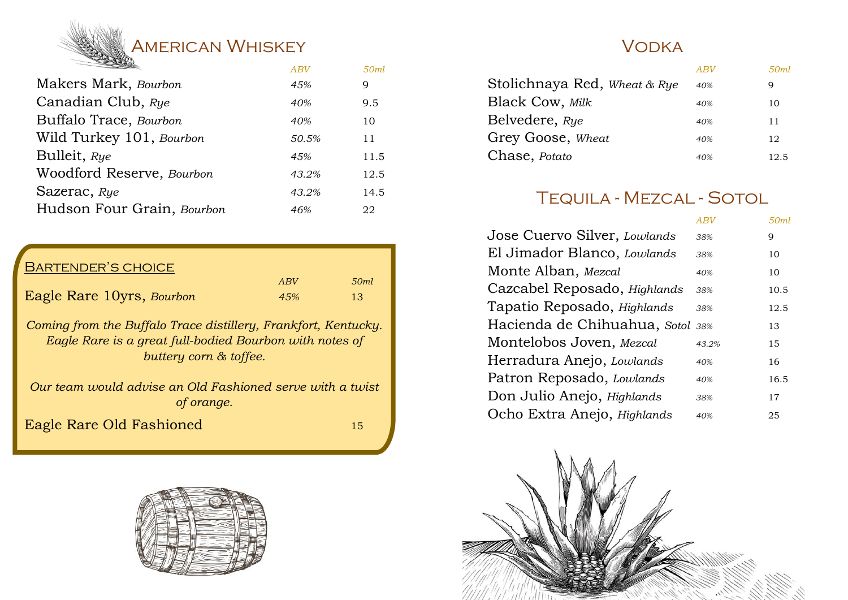# **AMERICAN WHISKEY** *ABV 50ml*

|                            | $\Delta D$ | oviitt |
|----------------------------|------------|--------|
| Makers Mark, Bourbon       | 45%        | 9      |
| Canadian Club, Rye         | 40%        | 9.5    |
| Buffalo Trace, Bourbon     | 40%        | 10     |
| Wild Turkey 101, Bourbon   | 50.5%      | 11     |
| Bulleit, Rye               | 45%        | 11.5   |
| Woodford Reserve, Bourbon  | 43.2%      | 12.5   |
| Sazerac, Rye               | 43.2%      | 14.5   |
| Hudson Four Grain, Bourbon | 46%        | 22     |
|                            |            |        |

### Bartender's choice

|                           | ABV  | 50ml |
|---------------------------|------|------|
| Eagle Rare 10yrs, Bourbon | 4.5% |      |

*Coming from the Buffalo Trace distillery, Frankfort, Kentucky. Eagle Rare is a great full-bodied Bourbon with notes of buttery corn & toffee.*

*Our team would advise an Old Fashioned serve with a twist of orange.*

Eagle Rare Old Fashioned 15



### **VODKA**

|                              | ABV | 50ml |
|------------------------------|-----|------|
| Stolichnaya Red, Wheat & Rye | 40% | 9    |
| <b>Black Cow, Milk</b>       | 40% | 10   |
| Belvedere, Rye               | 40% | 11   |
| Grey Goose, Wheat            | 40% | 12   |
| Chase, Potato                | 40% | 12.5 |

## Tequila - Mezcal - Sotol

|                              | ABV   | 50ml |
|------------------------------|-------|------|
| Jose Cuervo Silver, Lowlands | 38%   | 9    |
| El Jimador Blanco, Lowlands  | 38%   | 10   |
| Monte Alban, Mezcal          | 40%   | 10   |
| Cazcabel Reposado, Highlands | 38%   | 10.5 |
| Tapatio Reposado, Highlands  | 38%   | 12.5 |
| Hacienda de Chihuahua, Sotol | 38%   | 13   |
| Montelobos Joven, Mezcal     | 43.2% | 15   |
| Herradura Anejo, Lowlands    | 40%   | 16   |
| Patron Reposado, Lowlands    | 40%   | 16.5 |
| Don Julio Anejo, Highlands   | 38%   | 17   |
| Ocho Extra Anejo, Highlands  | 40%   | 25   |
|                              |       |      |